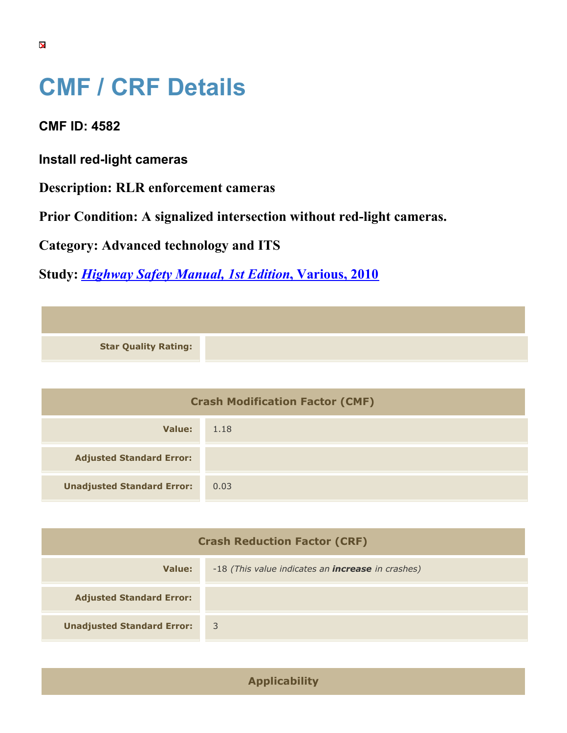## **CMF / CRF Details**

**CMF ID: 4582**

**Install red-light cameras**

**Description: RLR enforcement cameras**

**Prior Condition: A signalized intersection without red-light cameras.**

**Category: Advanced technology and ITS**

**Study:** *[Highway Safety Manual, 1st Edition](https://cmfclearinghouse.org/study_detail.cfm?stid=297)***[, Various, 2010](https://cmfclearinghouse.org/study_detail.cfm?stid=297)**

| <b>Crash Modification Factor (CMF)</b> |      |
|----------------------------------------|------|
| Value:                                 | 1.18 |
| <b>Adjusted Standard Error:</b>        |      |
| <b>Unadjusted Standard Error:</b>      | 0.03 |

| <b>Crash Reduction Factor (CRF)</b> |                                                          |
|-------------------------------------|----------------------------------------------------------|
| Value:                              | -18 (This value indicates an <b>increase</b> in crashes) |
| <b>Adjusted Standard Error:</b>     |                                                          |
| <b>Unadjusted Standard Error:</b>   | $\overline{3}$                                           |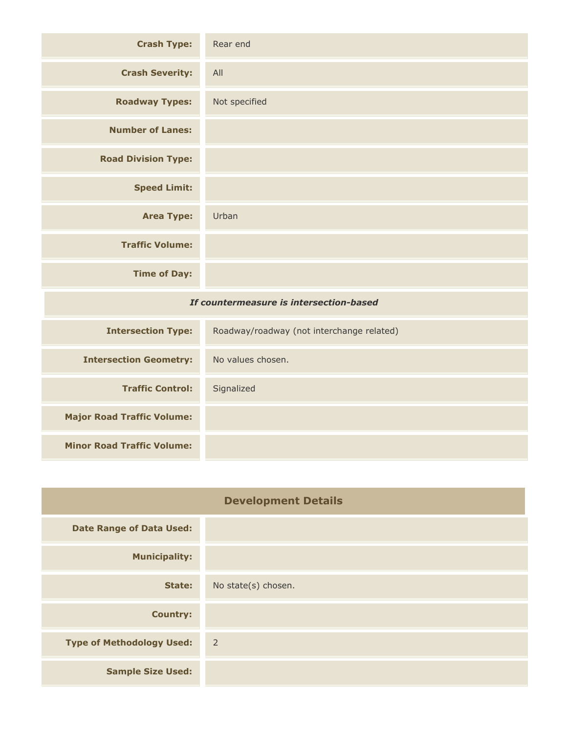| <b>Crash Type:</b>                      | Rear end                                  |
|-----------------------------------------|-------------------------------------------|
| <b>Crash Severity:</b>                  | All                                       |
| <b>Roadway Types:</b>                   | Not specified                             |
| <b>Number of Lanes:</b>                 |                                           |
| <b>Road Division Type:</b>              |                                           |
| <b>Speed Limit:</b>                     |                                           |
| <b>Area Type:</b>                       | Urban                                     |
| <b>Traffic Volume:</b>                  |                                           |
| <b>Time of Day:</b>                     |                                           |
| If countermeasure is intersection-based |                                           |
| <b>Intersection Type:</b>               | Roadway/roadway (not interchange related) |
| <b>Intersection Geometry:</b>           | No values chosen.                         |
| <b>Traffic Control:</b>                 | Signalized                                |
| <b>Major Road Traffic Volume:</b>       |                                           |

| <b>Minor Road Traffic Volume:</b> |  |
|-----------------------------------|--|

| <b>Development Details</b>       |                     |
|----------------------------------|---------------------|
| <b>Date Range of Data Used:</b>  |                     |
| <b>Municipality:</b>             |                     |
| State:                           | No state(s) chosen. |
| <b>Country:</b>                  |                     |
| <b>Type of Methodology Used:</b> | $\overline{2}$      |
| <b>Sample Size Used:</b>         |                     |